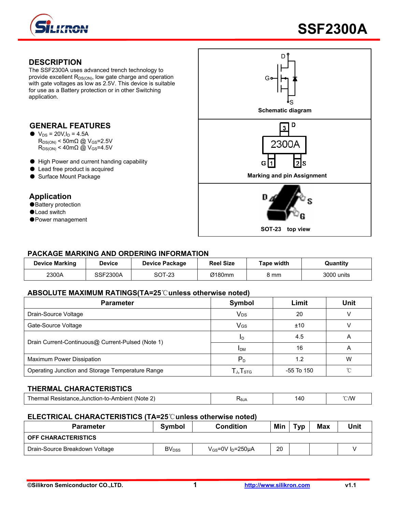

#### **DESCRIPTION**

The SSF2300A uses advanced trench technology to provide excellent  $R_{DS(ON)}$ , low gate charge and operation with gate voltages as low as 2.5V. This device is suitable for use as a Battery protection or in other Switching application.

#### **GENERAL FEATURES**

- $\bullet$  V<sub>DS</sub> = 20V, I<sub>D</sub> = 4.5A  $R_{DS(ON)}$  < 50m $\Omega$  @ V<sub>GS</sub>=2.5V  $R_{DS(ON)}$  < 40m $\Omega$  @ V<sub>GS</sub>=4.5V
- High Power and current handing capability
- Lead free product is acquired
- 

#### **Application**

- ●Battery protection
- ●Load switch
- ●Power management



#### **PACKAGE MARKING AND ORDERING INFORMATION**

| <b>Device Marking</b> | Device          | Device Package | <b>Reel Size</b> | Tape width | Quantitv   |
|-----------------------|-----------------|----------------|------------------|------------|------------|
| 2300A                 | <b>SSF2300A</b> | SOT-23         | Ø180mm           | 8 mm       | 3000 units |

#### **ABSOLUTE MAXIMUM RATINGS(TA=25**℃**unless otherwise noted)**

| <b>Parameter</b>                                  | Symbol                                               | Limit      | <b>Unit</b> |
|---------------------------------------------------|------------------------------------------------------|------------|-------------|
| Drain-Source Voltage                              | V <sub>DS</sub>                                      | 20         |             |
| Gate-Source Voltage                               | V <sub>GS</sub>                                      | ±10        |             |
| Drain Current-Continuous@ Current-Pulsed (Note 1) | ID                                                   | 4.5        | A           |
|                                                   | <b>IDM</b>                                           | 16         |             |
| Maximum Power Dissipation                         | $P_D$                                                | 1.2        | w           |
| Operating Junction and Storage Temperature Range  | $\mathsf{T}_{\mathsf{J}}, \mathsf{T}_{\textsf{STG}}$ | -55 To 150 |             |

#### **THERMAL CHARACTERISTICS**

| (Note<br>. Acietanoc<br>ubler*<br>-Junction-to-A.<br>nei<br>наг<br>. ναρισματικά | ᠇ᡐ᠐᠕ | 14C<br>ᅲᇈ<br>$\sim$ | ነ ለለ/<br>$- \cdot \cdot \cdot$ |
|----------------------------------------------------------------------------------|------|---------------------|--------------------------------|
|                                                                                  |      |                     |                                |

#### **ELECTRICAL CHARACTERISTICS (TA=25**℃**unless otherwise noted)**

| <b>Parameter</b>               | Symbol                  | <b>Condition</b>                   | Min | тур | <b>Max</b> | Unit |
|--------------------------------|-------------------------|------------------------------------|-----|-----|------------|------|
| <b>OFF CHARACTERISTICS</b>     |                         |                                    |     |     |            |      |
| Drain-Source Breakdown Voltage | <b>BV<sub>DSS</sub></b> | $V_{GS}$ =0V I <sub>D</sub> =250µA | 20  |     |            |      |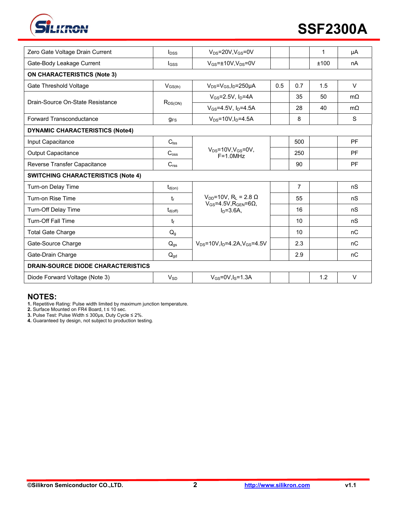

| Zero Gate Voltage Drain Current           | $I_{\text{DSS}}$ | $V_{DS}$ =20V,V $_{GS}$ =0V                                                             |     |     | 1    | μA        |  |
|-------------------------------------------|------------------|-----------------------------------------------------------------------------------------|-----|-----|------|-----------|--|
| Gate-Body Leakage Current                 | $_{\text{GSS}}$  | $V_{GS}$ =±10V, $V_{DS}$ =0V                                                            |     |     | ±100 | nA        |  |
| <b>ON CHARACTERISTICS (Note 3)</b>        |                  |                                                                                         |     |     |      |           |  |
| Gate Threshold Voltage                    | $V_{GS(th)}$     | $V_{DS} = V_{GS}I_D = 250 \mu A$                                                        | 0.5 | 0.7 | 1.5  | $\vee$    |  |
| Drain-Source On-State Resistance          | $R_{DS(ON)}$     | $V_{GS} = 2.5V$ , $I_D = 4A$                                                            |     | 35  | 50   | $m\Omega$ |  |
|                                           |                  | $V_{GS} = 4.5V$ , $I_D = 4.5A$                                                          |     | 28  | 40   | $m\Omega$ |  |
| <b>Forward Transconductance</b>           | $g_{FS}$         | $V_{DS} = 10V, I_D = 4.5A$                                                              |     | 8   |      | S         |  |
| <b>DYNAMIC CHARACTERISTICS (Note4)</b>    |                  |                                                                                         |     |     |      |           |  |
| Input Capacitance                         | $C_{\text{lss}}$ |                                                                                         |     | 500 |      | PF        |  |
| <b>Output Capacitance</b>                 | $C_{\text{oss}}$ | $V_{DS}$ =10V, $V_{GS}$ =0V,<br>$F = 1.0 MHz$                                           |     | 250 |      | PF        |  |
| Reverse Transfer Capacitance              | C <sub>rss</sub> |                                                                                         |     | 90  |      | PF        |  |
| <b>SWITCHING CHARACTERISTICS (Note 4)</b> |                  |                                                                                         |     |     |      |           |  |
| Turn-on Delay Time                        | $t_{d(on)}$      |                                                                                         |     | 7   |      | nS        |  |
| Turn-on Rise Time                         | tr               | $V_{DD}$ =10V, R <sub>L</sub> = 2.8 Ω<br>$V_{GS}$ =4.5V, R <sub>GEN</sub> =6 $\Omega$ , |     | 55  |      | nS        |  |
| Turn-Off Delay Time                       | $t_{d(off)}$     | $In=3.6A$ .                                                                             |     | 16  |      | nS        |  |
| <b>Turn-Off Fall Time</b>                 | t                |                                                                                         |     | 10  |      | nS        |  |
| <b>Total Gate Charge</b>                  | $Q_{g}$          |                                                                                         |     | 10  |      | nC        |  |
| Gate-Source Charge                        | $Q_{gs}$         | $V_{DS} = 10V \cdot \ln 4.2A \cdot V_{GS} = 4.5V$                                       |     | 2.3 |      | nC        |  |
| Gate-Drain Charge                         | $Q_{gd}$         |                                                                                         |     | 2.9 |      | nC        |  |
| <b>DRAIN-SOURCE DIODE CHARACTERISTICS</b> |                  |                                                                                         |     |     |      |           |  |
| Diode Forward Voltage (Note 3)            | $V_{SD}$         | $V_{GS}$ =0V, $I_S$ =1.3A                                                               |     |     | 1.2  | $\vee$    |  |
|                                           |                  |                                                                                         |     |     |      |           |  |

### **NOTES:**

**1.** Repetitive Rating: Pulse width limited by maximum junction temperature.

**2.** Surface Mounted on FR4 Board, t ≤ 10 sec.

**3.** Pulse Test: Pulse Width ≤ 300μs, Duty Cycle ≤ 2%.

**4.** Guaranteed by design, not subject to production testing.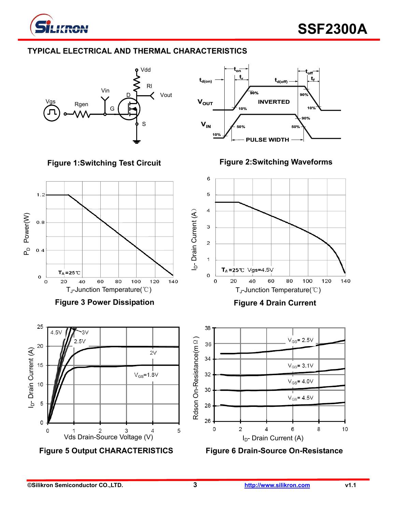

# **TYPICAL ELECTRICAL AND THERMAL CHARACTERISTICS**







**Figure 3 Power Dissipation** 



**Figure 5 Output CHARACTERISTICS Figure 6 Drain-Source On-Resistance**





**Figure 4 Drain Current** 

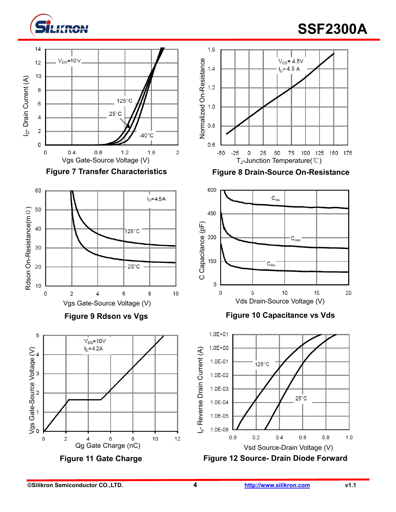

# **SSF2300A**











# Figure 9 Rdson vs Vgs **Figure 10 Capacitance vs Vds**



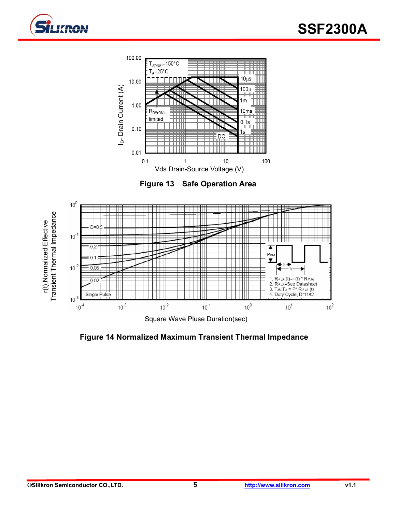



**Figure 13 Safe Operation Area** 



**Figure 14 Normalized Maximum Transient Thermal Impedance**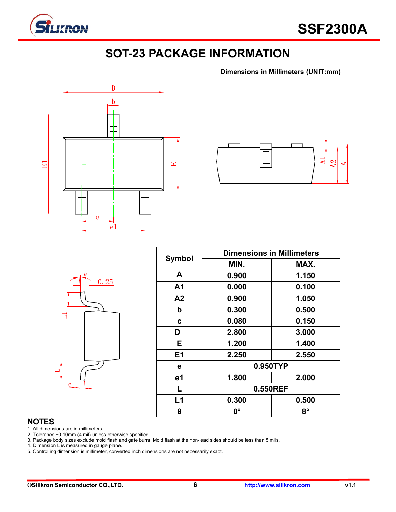

# **SOT-23 PACKAGE INFORMATION**

**Dimensions in Millimeters (UNIT:mm)**





|         | $\theta$ | 0.25 |  |
|---------|----------|------|--|
|         |          |      |  |
| $\bf c$ |          |      |  |

| <b>Symbol</b>  | <b>Dimensions in Millimeters</b> |       |  |  |  |
|----------------|----------------------------------|-------|--|--|--|
|                | MIN.                             | MAX.  |  |  |  |
| A              | 0.900                            | 1.150 |  |  |  |
| A <sub>1</sub> | 0.000                            | 0.100 |  |  |  |
| A2             | 0.900                            | 1.050 |  |  |  |
| b              | 0.300                            | 0.500 |  |  |  |
| C              | 0.080                            | 0.150 |  |  |  |
| D              | 2.800                            | 3.000 |  |  |  |
| E.             | 1.200                            | 1.400 |  |  |  |
| E1             | 2.250                            | 2.550 |  |  |  |
| е              | 0.950TYP                         |       |  |  |  |
| e1             | 1.800                            | 2.000 |  |  |  |
| L              | 0.550REF                         |       |  |  |  |
| L1             | 0.300                            | 0.500 |  |  |  |
| θ              | 0°                               | 8°    |  |  |  |

#### **NOTES**

1. All dimensions are in millimeters.

2. Tolerance ±0.10mm (4 mil) unless otherwise specified

3. Package body sizes exclude mold flash and gate burrs. Mold flash at the non-lead sides should be less than 5 mils.

4. Dimension L is measured in gauge plane.

5. Controlling dimension is millimeter, converted inch dimensions are not necessarily exact.